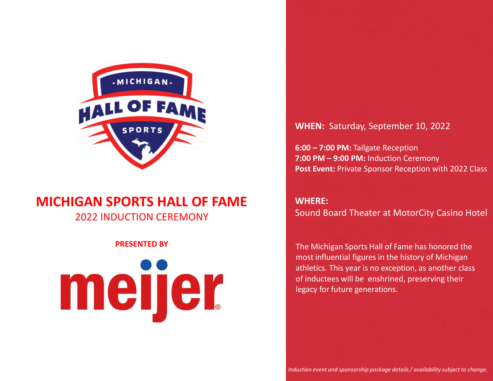

# **MICHIGAN SPORTS HALL OF FAME** 2022 INDUCTION CEREMONY

#### **PRESENTED BY**

# meijer

#### **WHEN:** Saturday, September 10, 2022

**6:00 – 7:00 PM:** Tailgate Reception **7:00 PM – 9:00 PM:** Induction Ceremony Post Event: Private Sponsor Reception with 2022 Class

# **WHERE:**

Sound Board Theater at MotorCity Casino Hotel

The Michigan Sports Hall of Fame has honored the most influential figures in the history of Michigan athletics. This year is no exception, as another class of inductees will be enshrined, preserving their legacy for future generations.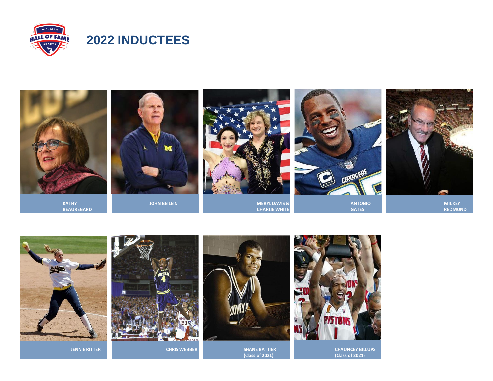





**JENNIE RITTER** 



**CHRIS WEBBER**



**CHRIS WEBBER EXECUTER SHANE BATTIER (Class of 2021)**



**CHAUNCEY BILLUPS (Class of 2021)**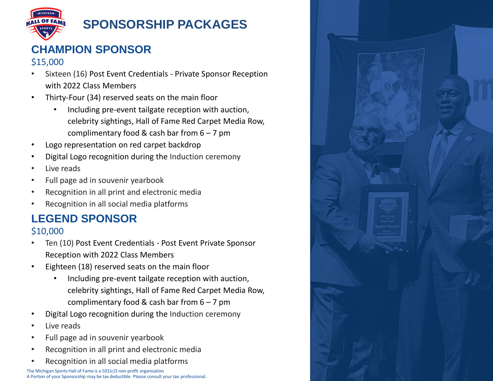

# **SPONSORSHIP PACKAGES**

# **CHAMPION SPONSOR**

## \$15,000

- Sixteen (16) Post Event Credentials Private Sponsor Reception with 2022 Class Members
- Thirty-Four (34) reserved seats on the main floor
	- Including pre-event tailgate reception with auction, celebrity sightings, Hall of Fame Red Carpet Media Row, complimentary food & cash bar from  $6 - 7$  pm
- Logo representation on red carpet backdrop
- Digital Logo recognition during the Induction ceremony
- Live reads
- Full page ad in souvenir yearbook
- Recognition in all print and electronic media
- Recognition in all social media platforms

# **LEGEND SPONSOR** \$10,000

- Ten (10) Post Event Credentials Post Event Private Sponsor Reception with 2022 Class Members
- Eighteen (18) reserved seats on the main floor
	- Including pre-event tailgate reception with auction, celebrity sightings, Hall of Fame Red Carpet Media Row, complimentary food & cash bar from  $6 - 7$  pm
- Digital Logo recognition during the Induction ceremony
- Live reads
- Full page ad in souvenir yearbook
- Recognition in all print and electronic media
- Recognition in all social media platforms

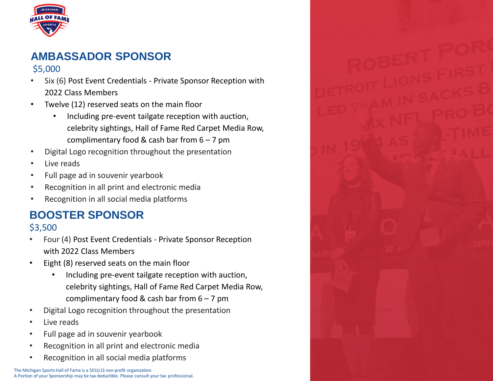

# **AMBASSADOR SPONSOR** \$5,000

- Six (6) Post Event Credentials Private Sponsor Reception with 2022 Class Members
- Twelve (12) reserved seats on the main floor
	- Including pre-event tailgate reception with auction, celebrity sightings, Hall of Fame Red Carpet Media Row, complimentary food & cash bar from  $6 - 7$  pm
- Digital Logo recognition throughout the presentation
- Live reads
- Full page ad in souvenir yearbook
- Recognition in all print and electronic media
- Recognition in all social media platforms

# **BOOSTER SPONSOR** \$3,500

- Four (4) Post Event Credentials Private Sponsor Reception with 2022 Class Members
- Eight (8) reserved seats on the main floor
	- Including pre-event tailgate reception with auction, celebrity sightings, Hall of Fame Red Carpet Media Row, complimentary food & cash bar from  $6 - 7$  pm
- Digital Logo recognition throughout the presentation
- Live reads
- Full page ad in souvenir yearbook
- Recognition in all print and electronic media
- Recognition in all social media platforms

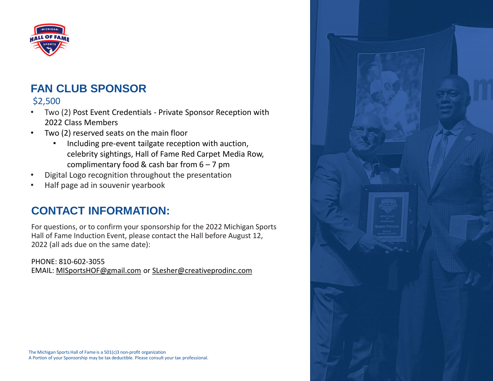

# **FAN CLUB SPONSOR**

# \$2,500

- Two (2) Post Event Credentials Private Sponsor Reception with 2022 Class Members
- Two (2) reserved seats on the main floor
	- Including pre-event tailgate reception with auction, celebrity sightings, Hall of Fame Red Carpet Media Row, complimentary food & cash bar from  $6 - 7$  pm
- Digital Logo recognition throughout the presentation
- Half page ad in souvenir yearbook

# **CONTACT INFORMATION:**

For questions, or to confirm your sponsorship for the 2022 Michigan Sports Hall of Fame Induction Event, please contact the Hall before August 12, 2022 (all ads due on the same date):

PHONE: 810-602-3055 EMAIL: [MISportsHOF@gmail.com](mailto:MISportsHOF@gmail.com) or S[Lesher@creativeprodinc.com](mailto:slesher@creativeprodinc.com)

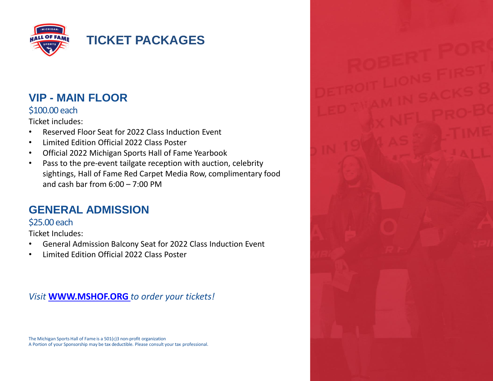

# **VIP - MAIN FLOOR**

#### \$100.00 each

Ticket includes:

- Reserved Floor Seat for 2022 Class Induction Event
- Limited Edition Official 2022 Class Poster
- Official 2022 Michigan Sports Hall of Fame Yearbook
- Pass to the pre-event tailgate reception with auction, celebrity sightings, Hall of Fame Red Carpet Media Row, complimentary food and cash bar from  $6:00 - 7:00$  PM

# **GENERAL ADMISSION**

# \$25.00 each

Ticket Includes:

- General Admission Balcony Seat for 2022 Class Induction Event
- Limited Edition Official 2022 Class Poster

*Visit* **[WWW.MSHOF.ORG](http://WWW.MSHOF.ORG/)** *to order your tickets!*

The Michigan Sports Hall of Fame is a 501(c)3 non-profit organization A Portion of your Sponsorship may be tax deductible. Please consult your tax professional.

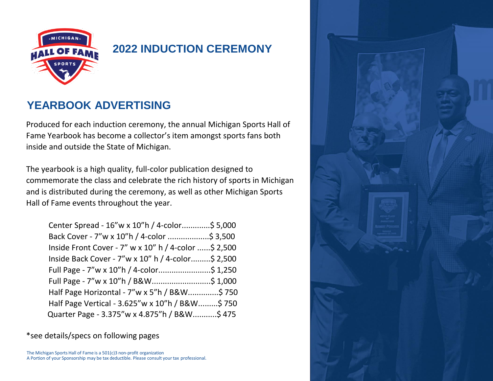

# **2022 INDUCTION CEREMONY**

# **YEARBOOK ADVERTISING**

Produced for each induction ceremony, the annual Michigan Sports Hall of Fame Yearbook has become a collector's item amongst sports fans both inside and outside the State of Michigan.

The yearbook is a high quality, full-color publication designed to commemorate the class and celebrate the rich history of sports in Michigan and is distributed during the ceremony, as well as other Michigan Sports Hall of Fame events throughout the year.

| Center Spread - 16"w x 10"h / 4-color\$ 5,000         |  |
|-------------------------------------------------------|--|
| Back Cover - 7"w x 10"h / 4-color \$ 3,500            |  |
| Inside Front Cover - 7" w x 10" h / 4-color  \$ 2,500 |  |
| Inside Back Cover - 7"w x 10" h / 4-color\$ 2,500     |  |
| Full Page - 7"w x 10"h / 4-color\$ 1,250              |  |
| Full Page - 7"w x 10"h / B&W\$ 1,000                  |  |
| Half Page Horizontal - 7"w x 5"h / B&W\$ 750          |  |
| Half Page Vertical - 3.625"w x 10"h / B&W\$ 750       |  |
| Quarter Page - 3.375"w x 4.875"h / B&W\$ 475          |  |

\*see details/specs on following pages

The Michigan Sports Hall of Fame is a 501(c)3 non-profit organization A Portion of your Sponsorship may be tax deductible. Please consult your tax professional.